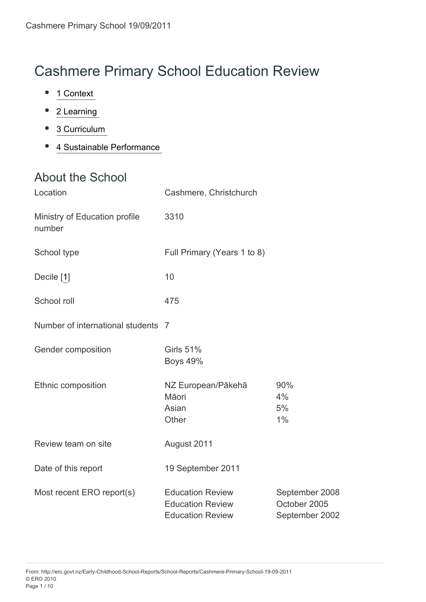# Cashmere Primary School Education Review

- 1 Context  $\bullet$
- 2 Learning
- 3 Curriculum  $\bullet$
- [4 Sustainable Performance 7](#page-7-0)  $\bullet$

### About the School

| Location                                | Cashmere, Christchurch                                                        |                                                  |
|-----------------------------------------|-------------------------------------------------------------------------------|--------------------------------------------------|
| Ministry of Education profile<br>number | 3310                                                                          |                                                  |
| School type                             | Full Primary (Years 1 to 8)                                                   |                                                  |
| Decile [1]                              | 10                                                                            |                                                  |
| School roll                             | 475                                                                           |                                                  |
| Number of international students 7      |                                                                               |                                                  |
| Gender composition                      | <b>Girls 51%</b><br><b>Boys 49%</b>                                           |                                                  |
| Ethnic composition                      | NZ European/Pākehā<br>Māori<br>Asian<br>Other                                 | 90%<br>4%<br>5%<br>1%                            |
| Review team on site                     | August 2011                                                                   |                                                  |
| Date of this report                     | 19 September 2011                                                             |                                                  |
| Most recent ERO report(s)               | <b>Education Review</b><br><b>Education Review</b><br><b>Education Review</b> | September 2008<br>October 2005<br>September 2002 |

From: http://ero.govt.nz/Early-Childhood-School-Reports/School-Reports/Cashmere-Primary-School-19-09-2011 © ERO 2010 Page 1 / 10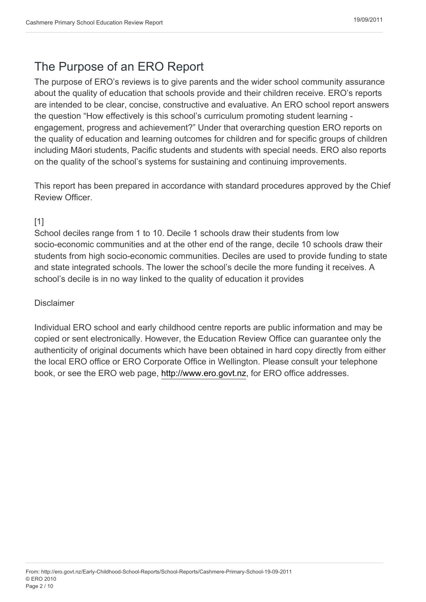## The Purpose of an ERO Report

The purpose of ERO's reviews is to give parents and the wider school community assurance about the quality of education that schools provide and their children receive. ERO's reports are intended to be clear, concise, constructive and evaluative. An ERO school report answers the question "How effectively is this school's curriculum promoting student learning engagement, progress and achievement?" Under that overarching question ERO reports on the quality of education and learning outcomes for children and for specific groups of children including Māori students, Pacific students and students with special needs. ERO also reports on the quality of the school's systems for sustaining and continuing improvements.

This report has been prepared in accordance with standard procedures approved by the Chief Review Officer.

### [1]

<span id="page-1-0"></span>School deciles range from 1 to 10. Decile 1 schools draw their students from low socio-economic communities and at the other end of the range, decile 10 schools draw their students from high socio-economic communities. Deciles are used to provide funding to state and state integrated schools. The lower the school's decile the more funding it receives. A school's decile is in no way linked to the quality of education it provides

#### Disclaimer

Individual ERO school and early childhood centre reports are public information and may be copied or sent electronically. However, the Education Review Office can guarantee only the authenticity of original documents which have been obtained in hard copy directly from either the local ERO office or ERO Corporate Office in Wellington. Please consult your telephone book, or see the ERO web page, http://www.ero.govt.nz, for ERO office addresses.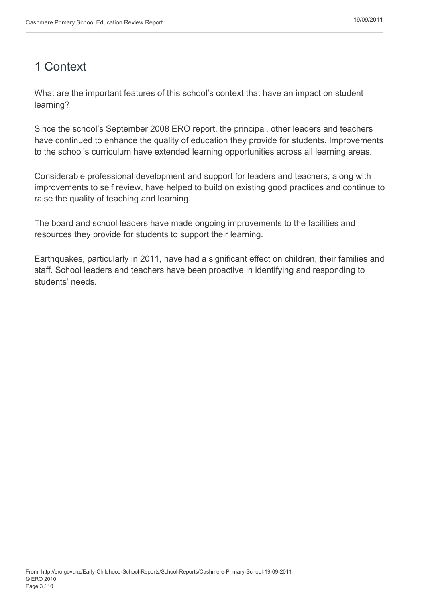## <span id="page-2-0"></span>1 Context

What are the important features of this school's context that have an impact on student learning?

Since the school's September 2008 ERO report, the principal, other leaders and teachers have continued to enhance the quality of education they provide for students. Improvements to the school's curriculum have extended learning opportunities across all learning areas.

Considerable professional development and support for leaders and teachers, along with improvements to self review, have helped to build on existing good practices and continue to raise the quality of teaching and learning.

The board and school leaders have made ongoing improvements to the facilities and resources they provide for students to support their learning.

Earthquakes, particularly in 2011, have had a significant effect on children, their families and staff. School leaders and teachers have been proactive in identifying and responding to students' needs.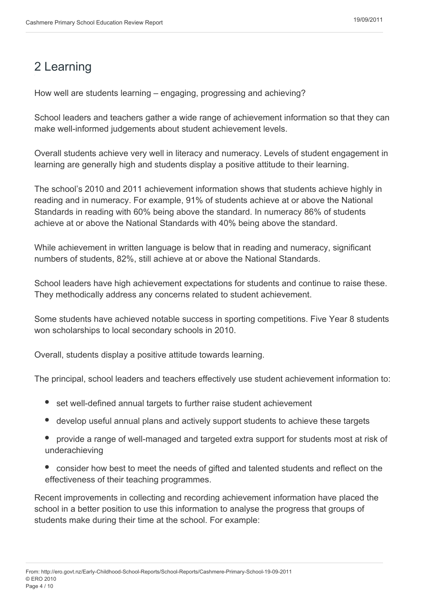## <span id="page-3-0"></span>2 Learning

How well are students learning – engaging, progressing and achieving?

School leaders and teachers gather a wide range of achievement information so that they can make well-informed judgements about student achievement levels.

Overall students achieve very well in literacy and numeracy. Levels of student engagement in learning are generally high and students display a positive attitude to their learning.

The school's 2010 and 2011 achievement information shows that students achieve highly in reading and in numeracy. For example, 91% of students achieve at or above the National Standards in reading with 60% being above the standard. In numeracy 86% of students achieve at or above the National Standards with 40% being above the standard.

While achievement in written language is below that in reading and numeracy, significant numbers of students, 82%, still achieve at or above the National Standards.

School leaders have high achievement expectations for students and continue to raise these. They methodically address any concerns related to student achievement.

Some students have achieved notable success in sporting competitions. Five Year 8 students won scholarships to local secondary schools in 2010.

Overall, students display a positive attitude towards learning.

The principal, school leaders and teachers effectively use student achievement information to:

- set well-defined annual targets to further raise student achievement
- develop useful annual plans and actively support students to achieve these targets
- provide a range of well-managed and targeted extra support for students most at risk of underachieving
- consider how best to meet the needs of gifted and talented students and reflect on the effectiveness of their teaching programmes.

Recent improvements in collecting and recording achievement information have placed the school in a better position to use this information to analyse the progress that groups of students make during their time at the school. For example: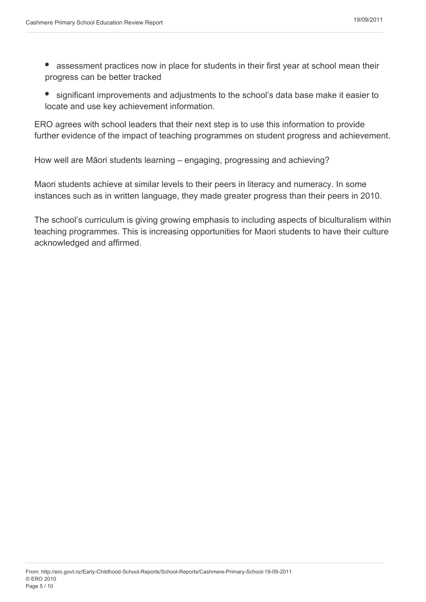- $\bullet$ assessment practices now in place for students in their first year at school mean their progress can be better tracked
- significant improvements and adjustments to the school's data base make it easier to  $\bullet$ locate and use key achievement information.

ERO agrees with school leaders that their next step is to use this information to provide further evidence of the impact of teaching programmes on student progress and achievement.

How well are Māori students learning – engaging, progressing and achieving?

Maori students achieve at similar levels to their peers in literacy and numeracy. In some instances such as in written language, they made greater progress than their peers in 2010.

The school's curriculum is giving growing emphasis to including aspects of biculturalism within teaching programmes. This is increasing opportunities for Maori students to have their culture acknowledged and affirmed.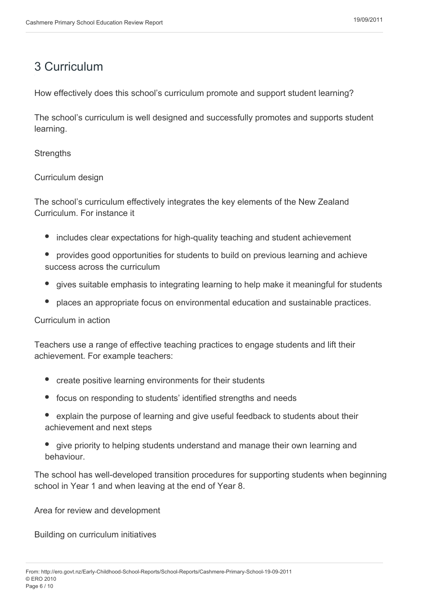### <span id="page-5-0"></span>3 Curriculum

How effectively does this school's curriculum promote and support student learning?

The school's curriculum is well designed and successfully promotes and supports student learning.

**Strengths** 

Curriculum design

The school's curriculum effectively integrates the key elements of the New Zealand Curriculum. For instance it

- includes clear expectations for high-quality teaching and student achievement
- provides good opportunities for students to build on previous learning and achieve success across the curriculum
- gives suitable emphasis to integrating learning to help make it meaningful for students
- places an appropriate focus on environmental education and sustainable practices.

Curriculum in action

Teachers use a range of effective teaching practices to engage students and lift their achievement. For example teachers:

- create positive learning environments for their students
- focus on responding to students' identified strengths and needs
- explain the purpose of learning and give useful feedback to students about their achievement and next steps
- give priority to helping students understand and manage their own learning and behaviour.

The school has well-developed transition procedures for supporting students when beginning school in Year 1 and when leaving at the end of Year 8.

Area for review and development

Building on curriculum initiatives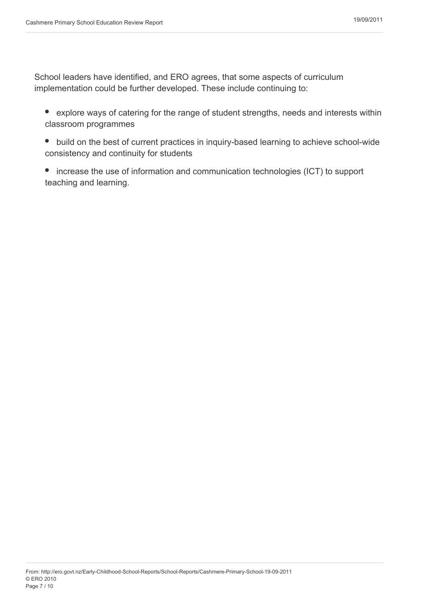School leaders have identified, and ERO agrees, that some aspects of curriculum implementation could be further developed. These include continuing to:

- explore ways of catering for the range of student strengths, needs and interests within classroom programmes
- build on the best of current practices in inquiry-based learning to achieve school-wide consistency and continuity for students
- increase the use of information and communication technologies (ICT) to support teaching and learning.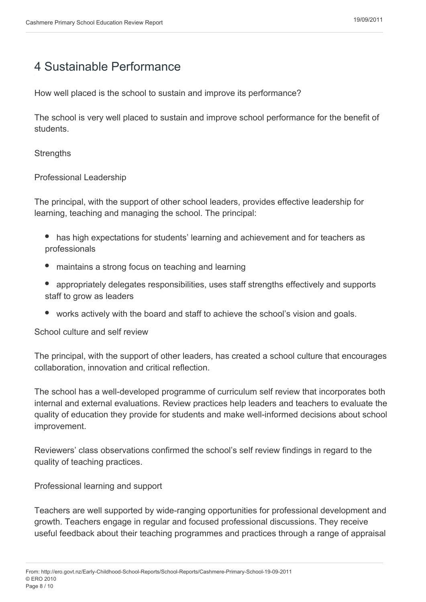### <span id="page-7-0"></span>4 Sustainable Performance

How well placed is the school to sustain and improve its performance?

The school is very well placed to sustain and improve school performance for the benefit of students.

**Strengths** 

Professional Leadership

The principal, with the support of other school leaders, provides effective leadership for learning, teaching and managing the school. The principal:

- has high expectations for students' learning and achievement and for teachers as professionals
- maintains a strong focus on teaching and learning
- appropriately delegates responsibilities, uses staff strengths effectively and supports staff to grow as leaders
- works actively with the board and staff to achieve the school's vision and goals.

School culture and self review

The principal, with the support of other leaders, has created a school culture that encourages collaboration, innovation and critical reflection.

The school has a well-developed programme of curriculum self review that incorporates both internal and external evaluations. Review practices help leaders and teachers to evaluate the quality of education they provide for students and make well-informed decisions about school improvement.

Reviewers' class observations confirmed the school's self review findings in regard to the quality of teaching practices.

Professional learning and support

Teachers are well supported by wide-ranging opportunities for professional development and growth. Teachers engage in regular and focused professional discussions. They receive useful feedback about their teaching programmes and practices through a range of appraisal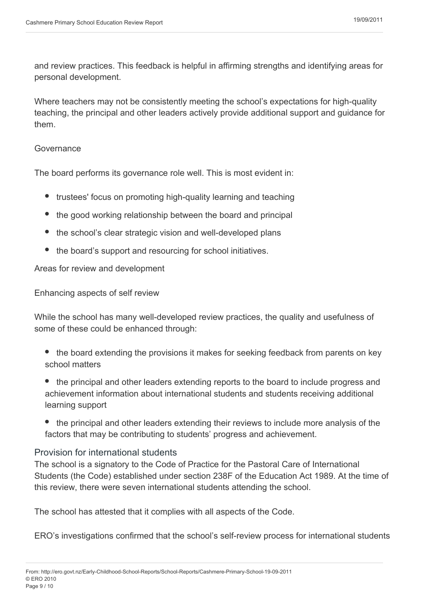and review practices. This feedback is helpful in affirming strengths and identifying areas for personal development.

Where teachers may not be consistently meeting the school's expectations for high-quality teaching, the principal and other leaders actively provide additional support and guidance for them.

#### Governance

The board performs its governance role well. This is most evident in:

- trustees' focus on promoting high-quality learning and teaching
- the good working relationship between the board and principal
- the school's clear strategic vision and well-developed plans
- the board's support and resourcing for school initiatives.

Areas for review and development

Enhancing aspects of self review

While the school has many well-developed review practices, the quality and usefulness of some of these could be enhanced through:

- the board extending the provisions it makes for seeking feedback from parents on key school matters
- the principal and other leaders extending reports to the board to include progress and achievement information about international students and students receiving additional learning support
- the principal and other leaders extending their reviews to include more analysis of the factors that may be contributing to students' progress and achievement.

#### Provision for international students

The school is a signatory to the Code of Practice for the Pastoral Care of International Students (the Code) established under section 238F of the Education Act 1989. At the time of this review, there were seven international students attending the school.

The school has attested that it complies with all aspects of the Code.

ERO's investigations confirmed that the school's self-review process for international students